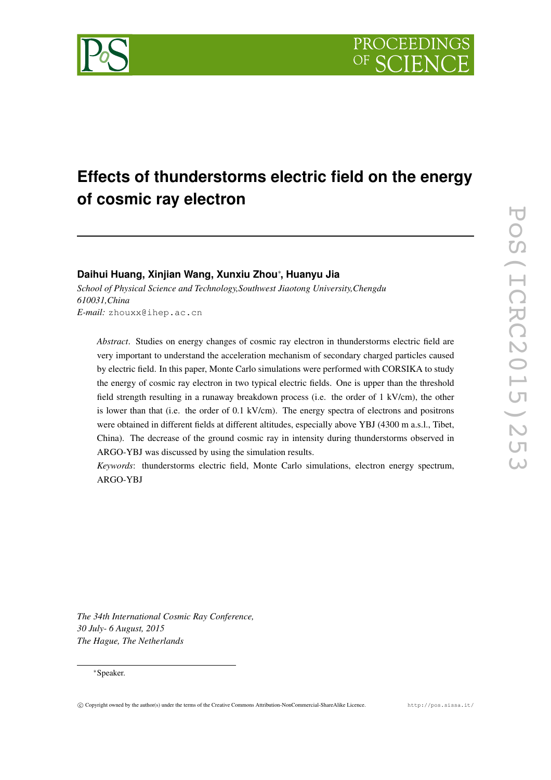

# **Effects of thunderstorms electric field on the energy of cosmic ray electron**

# **Daihui Huang, Xinjian Wang, Xunxiu Zhou** ∗ **, Huanyu Jia**

*School of Physical Science and Technology,Southwest Jiaotong University,Chengdu 610031,China E-mail:* zhouxx@ihep.ac.cn

*Abstract*. Studies on energy changes of cosmic ray electron in thunderstorms electric field are very important to understand the acceleration mechanism of secondary charged particles caused by electric field. In this paper, Monte Carlo simulations were performed with CORSIKA to study the energy of cosmic ray electron in two typical electric fields. One is upper than the threshold field strength resulting in a runaway breakdown process (i.e. the order of 1 kV/cm), the other is lower than that (i.e. the order of 0.1 kV/cm). The energy spectra of electrons and positrons were obtained in different fields at different altitudes, especially above YBJ (4300 m a.s.l., Tibet, China). The decrease of the ground cosmic ray in intensity during thunderstorms observed in ARGO-YBJ was discussed by using the simulation results.

*Keywords*: thunderstorms electric field, Monte Carlo simulations, electron energy spectrum, ARGO-YBJ

*The 34th International Cosmic Ray Conference, 30 July- 6 August, 2015 The Hague, The Netherlands*

#### ∗Speaker.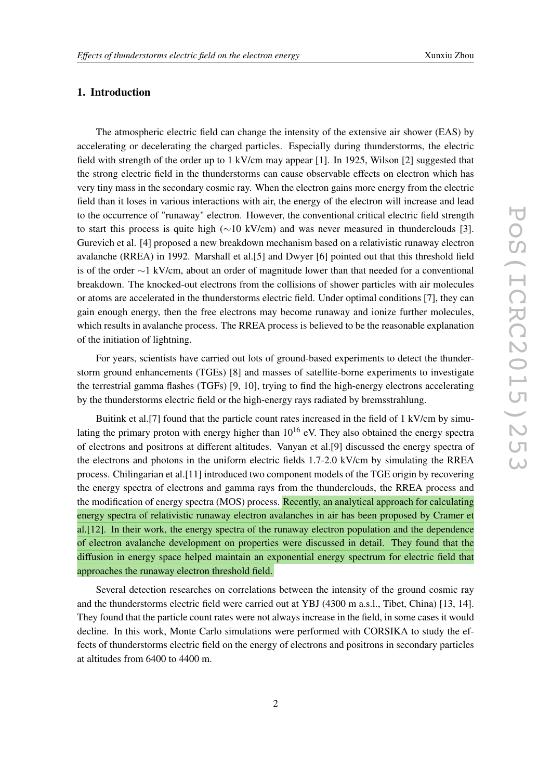## 1. Introduction

The atmospheric electric field can change the intensity of the extensive air shower (EAS) by accelerating or decelerating the charged particles. Especially during thunderstorms, the electric field with strength of the order up to 1 kV/cm may appear [ 1]. In 1925, Wilson [ 2] suggested that the strong electric field in the thunderstorms can cause observable effects on electron which has very tiny mass in the secondary cosmic ray. When the electron gains more energy from the electric field than it loses in various interactions with air, the energy of the electron will increase and lead to the occurrence of "runaway" electron. However, the conventional critical electric field strength to start this process is quite high  $(\sim 10 \text{ kV/cm})$  and was never measured in thunderclouds [3]. Gurevich et al. [ 4] proposed a new breakdown mechanism based on a relativistic runaway electron avalanche (RREA) in 1992. Marshall et al.[ 5] and Dwyer [ 6] pointed out that this threshold field is of the order ∼1 kV/cm, about an order of magnitude lower than that needed for a conventional breakdown. The knocked-out electrons from the collisions of shower particles with air molecules or atoms are accelerated in the thunderstorms electric field. Under optimal conditions [ 7], they can gain enough energy, then the free electrons may become runaway and ionize further molecules, which results in avalanche process. The RREA process is believed to be the reasonable explanation of the initiation of lightning.

For years, scientists have carried out lots of ground-based experiments to detect the thunderstorm ground enhancements (TGEs) [8] and masses of satellite-borne experiments to investigate the terrestrial gamma flashes (TGFs) [ 9 , 10], trying to find the high-energy electrons accelerating by the thunderstorms electric field or the high-energy rays radiated by bremsstrahlung.

Buitink et al.[ 7] found that the particle count rates increased in the field of 1 kV/cm by simulating the primary proton with energy higher than  $10^{16}$  eV. They also obtained the energy spectra of electrons and positrons at different altitudes. Vanyan et al.[ 9] discussed the energy spectra of the electrons and photons in the uniform electric fields 1.7-2.0 kV/cm by simulating the RREA process. Chilingarian et al.[11] introduced two component models of the TGE origin by recovering the energy spectra of electrons and gamma rays from the thunderclouds, the RREA process and the modification of energy spectra (MOS) process. Recently, an analytical approach for calculating energy spectra of relativistic runaway electron avalanches in air has been proposed by Cramer et al.[12]. In their work, the energy spectra of the runaway electron population and the dependence of electron avalanche development on properties were discussed in detail. They found that the diffusion in energy space helped maintain an exponential energy spectrum for electric field that approaches the runaway electron threshold field.

Several detection researches on correlations between the intensity of the ground cosmic ray and the thunderstorms electric field were carried out at YBJ (4300 m a.s.l., Tibet, China) [13 , 14]. They found that the particle count rates were not always increase in the field, in some cases it would decline. In this work, Monte Carlo simulations were performed with CORSIKA to study the effects of thunderstorms electric field on the energy of electrons and positrons in secondary particles at altitudes from 6400 to 4400 m.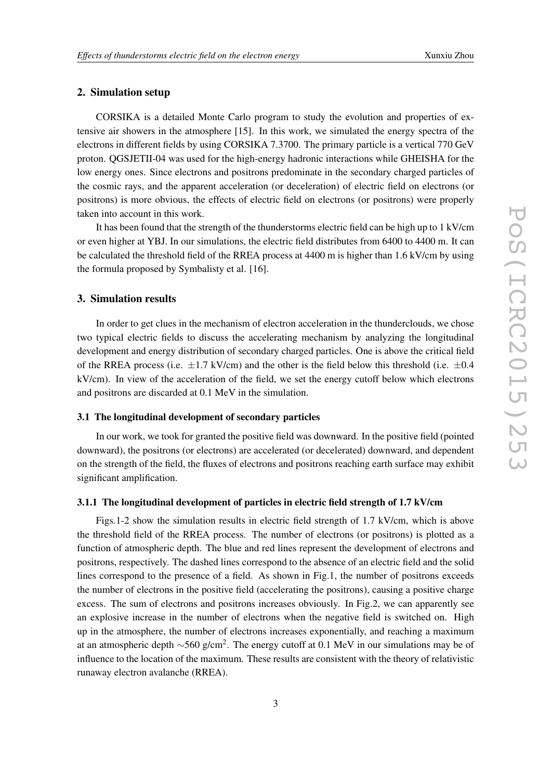#### 2. Simulation setup

CORSIKA is a detailed Monte Carlo program to study the evolution and properties of extensive air showers in the atmosphere [15]. In this work, we simulated the energy spectra of the electrons in different fields by using CORSIKA 7.3700. The primary particle is a vertical 770 GeV proton. QGSJETII-04 was used for the high-energy hadronic interactions while GHEISHA for the low energy ones. Since electrons and positrons predominate in the secondary charged particles of the cosmic rays, and the apparent acceleration (or deceleration) of electric field on electrons (or positrons) is more obvious, the effects of electric field on electrons (or positrons) were properly taken into account in this work.

It has been found that the strength of the thunderstorms electric field can be high up to 1 kV/cm or even higher at YBJ. In our simulations, the electric field distributes from 6400 to 4400 m. It can be calculated the threshold field of the RREA process at 4400 m is higher than 1.6 kV/cm by using the formula proposed by Symbalisty et al. [16].

### 3. Simulation results

In order to get clues in the mechanism of electron acceleration in the thunderclouds, we chose two typical electric fields to discuss the accelerating mechanism by analyzing the longitudinal development and energy distribution of secondary charged particles. One is above the critical field of the RREA process (i.e.  $\pm 1.7$  kV/cm) and the other is the field below this threshold (i.e.  $\pm 0.4$ kV/cm). In view of the acceleration of the field, we set the energy cutoff below which electrons and positrons are discarded at 0.1 MeV in the simulation.

#### 3.1 The longitudinal development of secondary particles

In our work, we took for granted the positive field was downward. In the positive field (pointed downward), the positrons (or electrons) are accelerated (or decelerated) downward, and dependent on the strength of the field, the fluxes of electrons and positrons reaching earth surface may exhibit significant amplification.

#### 3.1.1 The longitudinal development of particles in electric field strength of 1.7 kV/cm

Figs.1-2 show the simulation results in electric field strength of 1.7 kV/cm, which is above the threshold field of the RREA process. The number of electrons (or positrons) is plotted as a function of atmospheric depth. The blue and red lines represent the development of electrons and positrons, respectively. The dashed lines correspond to the absence of an electric field and the solid lines correspond to the presence of a field. As shown in Fig.1, the number of positrons exceeds the number of electrons in the positive field (accelerating the positrons), causing a positive charge excess. The sum of electrons and positrons increases obviously. In Fig.2, we can apparently see an explosive increase in the number of electrons when the negative field is switched on. High up in the atmosphere, the number of electrons increases exponentially, and reaching a maximum at an atmospheric depth  $\sim$ 560 g/cm<sup>2</sup>. The energy cutoff at 0.1 MeV in our simulations may be of influence to the location of the maximum. These results are consistent with the theory of relativistic runaway electron avalanche (RREA).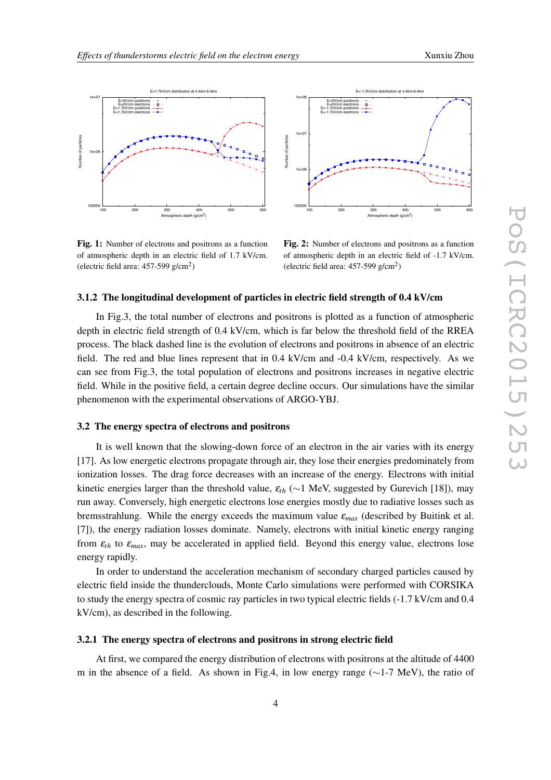





E=-1.7kV/cm distribution at 4.4km-6.4km

Fig. 1: Number of electrons and positrons as a function of atmospheric depth in an electric field of 1.7 kV/cm. (electric field area:  $457-599$  g/cm<sup>2</sup>)

Fig. 2: Number of electrons and positrons as a function of atmospheric depth in an electric field of -1.7 kV/cm. (electric field area:  $457-599$  g/cm<sup>2</sup>)

#### 3.1.2 The longitudinal development of particles in electric field strength of 0.4 kV/cm

In Fig.3, the total number of electrons and positrons is plotted as a function of atmospheric depth in electric field strength of 0.4 kV/cm, which is far below the threshold field of the RREA process. The black dashed line is the evolution of electrons and positrons in absence of an electric field. The red and blue lines represent that in 0.4 kV/cm and -0.4 kV/cm, respectively. As we can see from Fig.3, the total population of electrons and positrons increases in negative electric field. While in the positive field, a certain degree decline occurs. Our simulations have the similar phenomenon with the experimental observations of ARGO-YBJ.

#### 3.2 The energy spectra of electrons and positrons

It is well known that the slowing-down force of an electron in the air varies with its energy [17]. As low energetic electrons propagate through air, they lose their energies predominately from ionization losses. The drag force decreases with an increase of the energy. Electrons with initial kinetic energies larger than the threshold value,  $\varepsilon_{th}$  ( $\sim$ 1 MeV, suggested by Gurevich [18]), may run away. Conversely, high energetic electrons lose energies mostly due to radiative losses such as bremsstrahlung. While the energy exceeds the maximum value <sup>ε</sup>*max* (described by Buitink et al. [ 7]), the energy radiation losses dominate. Namely, electrons with initial kinetic energy ranging from  $\varepsilon$ <sub>th</sub> to  $\varepsilon$ <sub>max</sub>, may be accelerated in applied field. Beyond this energy value, electrons lose energy rapidly.

In order to understand the acceleration mechanism of secondary charged particles caused by electric field inside the thunderclouds, Monte Carlo simulations were performed with CORSIKA to study the energy spectra of cosmic ray particles in two typical electric fields (-1.7 kV/cm and 0.4 kV/cm), as described in the following.

#### 3.2.1 The energy spectra of electrons and positrons in strong electric field

At first, we compared the energy distribution of electrons with positrons at the altitude of 4400 m in the absence of a field. As shown in Fig.4, in low energy range ( $\sim$ 1-7 MeV), the ratio of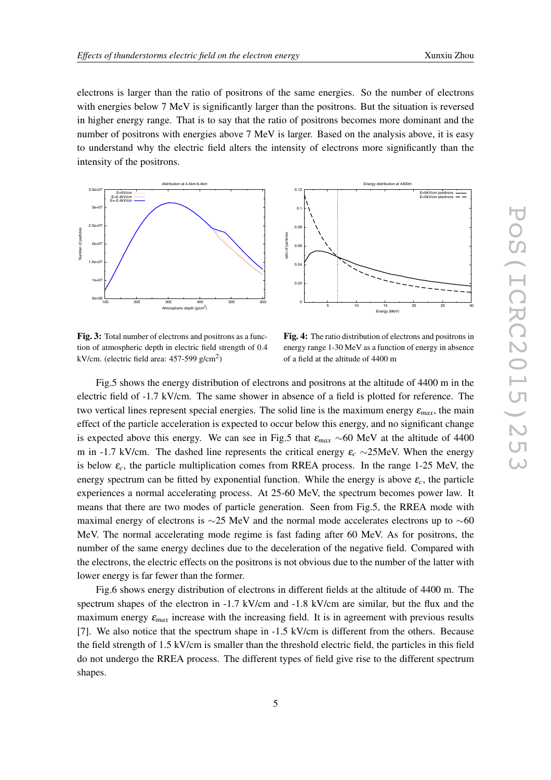electrons is larger than the ratio of positrons of the same energies. So the number of electrons with energies below 7 MeV is significantly larger than the positrons. But the situation is reversed in higher energy range. That is to say that the ratio of positrons becomes more dominant and the number of positrons with energies above 7 MeV is larger. Based on the analysis above, it is easy to understand why the electric field alters the intensity of electrons more significantly than the intensity of the positrons.



Fig. 3: Total number of electrons and positrons as a function of atmospheric depth in electric field strength of 0.4 kV/cm. (electric field area:  $457-599$  g/cm<sup>2</sup>)

Fig. 4: The ratio distribution of electrons and positrons in energy range 1-30 MeV as a function of energy in absence of a field at the altitude of 4400 m

Fig.5 shows the energy distribution of electrons and positrons at the altitude of 4400 m in the electric field of -1.7 kV/cm. The same shower in absence of a field is plotted for reference. The two vertical lines represent special energies. The solid line is the maximum energy  $\varepsilon_{max}$ , the main effect of the particle acceleration is expected to occur below this energy, and no significant change is expected above this energy. We can see in Fig.5 that  $\varepsilon_{max} \sim 60$  MeV at the altitude of 4400 m in -1.7 kV/cm. The dashed line represents the critical energy  $\varepsilon_c \sim 25$ MeV. When the energy is below  $\varepsilon_c$ , the particle multiplication comes from RREA process. In the range 1-25 MeV, the energy spectrum can be fitted by exponential function. While the energy is above  $\varepsilon_c$ , the particle experiences a normal accelerating process. At 25-60 MeV, the spectrum becomes power law. It means that there are two modes of particle generation. Seen from Fig.5, the RREA mode with maximal energy of electrons is  $\sim$ 25 MeV and the normal mode accelerates electrons up to  $\sim$ 60 MeV. The normal accelerating mode regime is fast fading after 60 MeV. As for positrons, the number of the same energy declines due to the deceleration of the negative field. Compared with the electrons, the electric effects on the positrons is not obvious due to the number of the latter with lower energy is far fewer than the former.

Fig.6 shows energy distribution of electrons in different fields at the altitude of 4400 m. The spectrum shapes of the electron in -1.7 kV/cm and -1.8 kV/cm are similar, but the flux and the maximum energy  $\varepsilon_{max}$  increase with the increasing field. It is in agreement with previous results [ 7]. We also notice that the spectrum shape in -1.5 kV/cm is different from the others. Because the field strength of 1.5 kV/cm is smaller than the threshold electric field, the particles in this field do not undergo the RREA process. The different types of field give rise to the different spectrum shapes.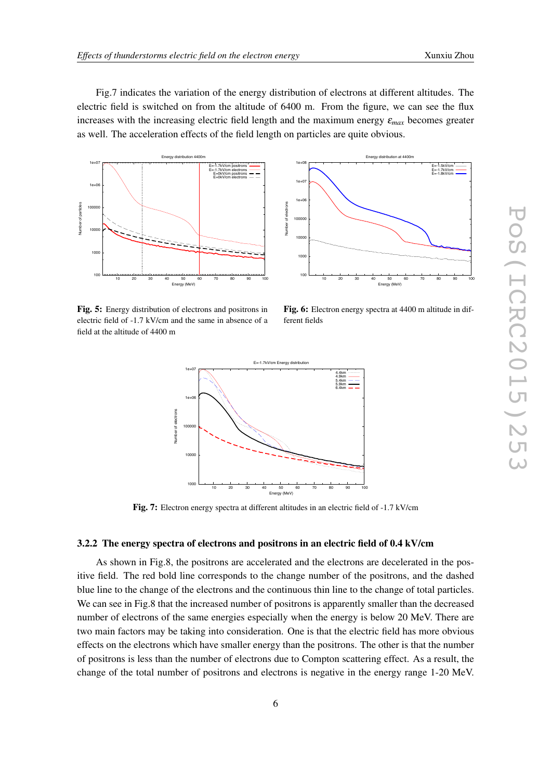Fig.7 indicates the variation of the energy distribution of electrons at different altitudes. The electric field is switched on from the altitude of 6400 m. From the figure, we can see the flux increases with the increasing electric field length and the maximum energy  $\varepsilon_{max}$  becomes greater as well. The acceleration effects of the field length on particles are quite obvious.





Fig. 5: Energy distribution of electrons and positrons in electric field of -1.7 kV/cm and the same in absence of a field at the altitude of 4400 m

Fig. 6: Electron energy spectra at 4400 m altitude in different fields



Fig. 7: Electron energy spectra at different altitudes in an electric field of -1.7 kV/cm

#### 3.2.2 The energy spectra of electrons and positrons in an electric field of 0.4 kV/cm

As shown in Fig.8, the positrons are accelerated and the electrons are decelerated in the positive field. The red bold line corresponds to the change number of the positrons, and the dashed blue line to the change of the electrons and the continuous thin line to the change of total particles. We can see in Fig.8 that the increased number of positrons is apparently smaller than the decreased number of electrons of the same energies especially when the energy is below 20 MeV. There are two main factors may be taking into consideration. One is that the electric field has more obvious effects on the electrons which have smaller energy than the positrons. The other is that the number of positrons is less than the number of electrons due to Compton scattering effect. As a result, the change of the total number of positrons and electrons is negative in the energy range 1-20 MeV.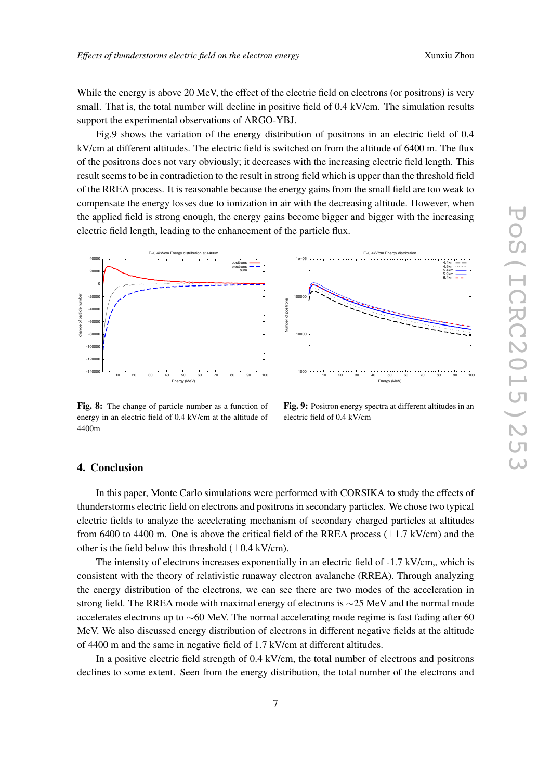While the energy is above 20 MeV, the effect of the electric field on electrons (or positrons) is very small. That is, the total number will decline in positive field of 0.4 kV/cm. The simulation results support the experimental observations of ARGO-YBJ.

Fig.9 shows the variation of the energy distribution of positrons in an electric field of 0.4 kV/cm at different altitudes. The electric field is switched on from the altitude of 6400 m. The flux of the positrons does not vary obviously; it decreases with the increasing electric field length. This result seems to be in contradiction to the result in strong field which is upper than the threshold field of the RREA process. It is reasonable because the energy gains from the small field are too weak to compensate the energy losses due to ionization in air with the decreasing altitude. However, when the applied field is strong enough, the energy gains become bigger and bigger with the increasing electric field length, leading to the enhancement of the particle flux.



Fig. 8: The change of particle number as a function of energy in an electric field of 0.4 kV/cm at the altitude of 4400m

 1e+06 4.4km 4.9km 5.4km 5.9km 6.4km 100000 Number of positrons Number of positron  $100$  1000 10 20 30 40 50 60 70 80 90 100 Energy (MeV)

E=0.4kV/cm Energy dist

Fig. 9: Positron energy spectra at different altitudes in an electric field of 0.4 kV/cm

#### 4. Conclusion

In this paper, Monte Carlo simulations were performed with CORSIKA to study the effects of thunderstorms electric field on electrons and positrons in secondary particles. We chose two typical electric fields to analyze the accelerating mechanism of secondary charged particles at altitudes from 6400 to 4400 m. One is above the critical field of the RREA process  $(\pm 1.7 \text{ kV/cm})$  and the other is the field below this threshold  $(\pm 0.4 \text{ kV/cm})$ .

The intensity of electrons increases exponentially in an electric field of -1.7 kV/cm, which is consistent with the theory of relativistic runaway electron avalanche (RREA). Through analyzing the energy distribution of the electrons, we can see there are two modes of the acceleration in strong field. The RREA mode with maximal energy of electrons is  $\sim$ 25 MeV and the normal mode accelerates electrons up to  $\sim$ 60 MeV. The normal accelerating mode regime is fast fading after 60 MeV. We also discussed energy distribution of electrons in different negative fields at the altitude of 4400 m and the same in negative field of 1.7 kV/cm at different altitudes.

In a positive electric field strength of 0.4 kV/cm, the total number of electrons and positrons declines to some extent. Seen from the energy distribution, the total number of the electrons and